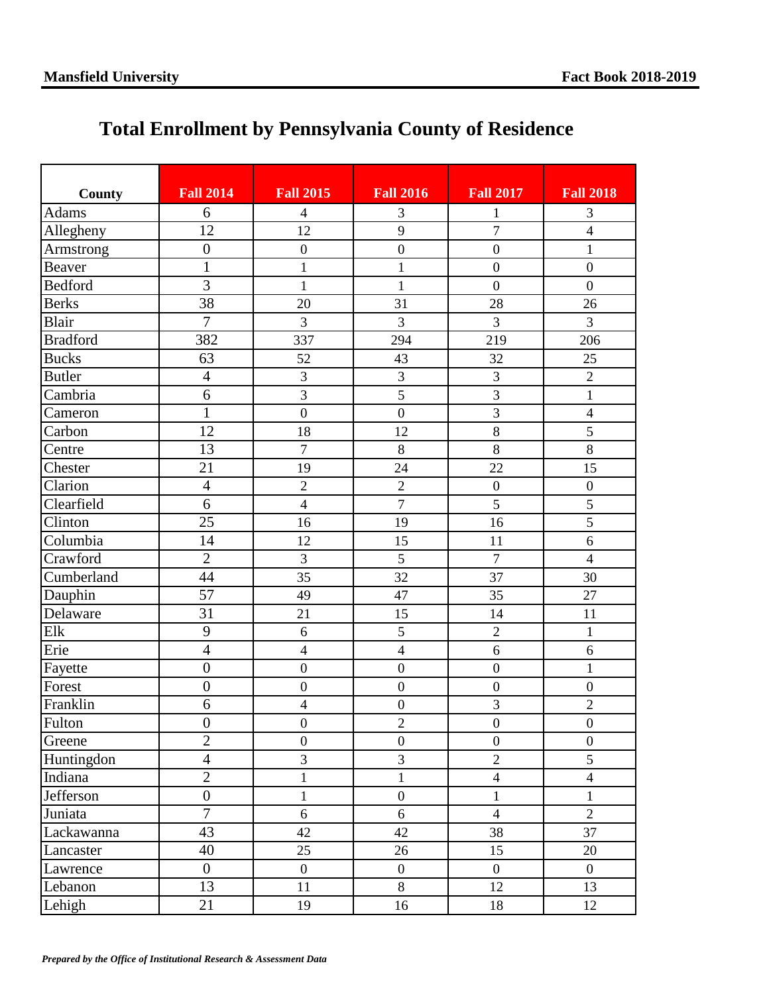## **Total Enrollment by Pennsylvania County of Residence**

| County          | <b>Fall 2014</b> | <b>Fall 2015</b> | <b>Fall 2016</b> | <b>Fall 2017</b> | <b>Fall 2018</b> |
|-----------------|------------------|------------------|------------------|------------------|------------------|
| <b>Adams</b>    | 6                | $\overline{4}$   | 3                | 1                | 3                |
| Allegheny       | 12               | 12               | 9                | $\overline{7}$   | $\overline{4}$   |
| Armstrong       | $\boldsymbol{0}$ | $\boldsymbol{0}$ | $\boldsymbol{0}$ | $\boldsymbol{0}$ | $\mathbf{1}$     |
| <b>Beaver</b>   | $\mathbf{1}$     | $\mathbf{1}$     | $\mathbf{1}$     | $\boldsymbol{0}$ | $\boldsymbol{0}$ |
| <b>Bedford</b>  | $\overline{3}$   | $\mathbf{1}$     | $\mathbf{1}$     | $\overline{0}$   | $\overline{0}$   |
| <b>Berks</b>    | 38               | 20               | 31               | 28               | 26               |
| Blair           | $\overline{7}$   | 3                | 3                | $\overline{3}$   | $\overline{3}$   |
| <b>Bradford</b> | 382              | 337              | 294              | 219              | 206              |
| <b>Bucks</b>    | 63               | 52               | 43               | 32               | 25               |
| <b>Butler</b>   | $\overline{4}$   | 3                | $\overline{3}$   | $\overline{3}$   | $\overline{2}$   |
| Cambria         | 6                | 3                | $\overline{5}$   | $\overline{3}$   | $\mathbf{1}$     |
| Cameron         | $\mathbf{1}$     | $\overline{0}$   | $\boldsymbol{0}$ | $\overline{3}$   | $\overline{4}$   |
| Carbon          | 12               | 18               | 12               | 8                | 5                |
| Centre          | 13               | $\overline{7}$   | $\,8\,$          | $\,8\,$          | $\,8\,$          |
| Chester         | 21               | 19               | 24               | 22               | 15               |
| Clarion         | $\overline{4}$   | $\sqrt{2}$       | $\overline{2}$   | $\boldsymbol{0}$ | $\boldsymbol{0}$ |
| Clearfield      | 6                | $\overline{4}$   | $\overline{7}$   | 5                | 5                |
| Clinton         | 25               | 16               | 19               | 16               | 5                |
| Columbia        | 14               | 12               | 15               | 11               | 6                |
| Crawford        | $\overline{2}$   | $\overline{3}$   | $\overline{5}$   | $\overline{7}$   | $\overline{4}$   |
| Cumberland      | 44               | 35               | 32               | 37               | 30               |
| Dauphin         | 57               | 49               | 47               | 35               | 27               |
| Delaware        | 31               | 21               | 15               | 14               | 11               |
| Elk             | 9                | 6                | 5                | $\overline{2}$   | $\mathbf{1}$     |
| Erie            | $\overline{4}$   | $\overline{4}$   | $\overline{4}$   | 6                | $\overline{6}$   |
| Fayette         | $\boldsymbol{0}$ | $\overline{0}$   | $\boldsymbol{0}$ | $\boldsymbol{0}$ | $\mathbf{1}$     |
| Forest          | $\boldsymbol{0}$ | $\boldsymbol{0}$ | $\boldsymbol{0}$ | $\boldsymbol{0}$ | $\boldsymbol{0}$ |
| Franklin        | 6                | $\overline{4}$   | $\boldsymbol{0}$ | 3                | $\overline{2}$   |
| Fulton          | $\boldsymbol{0}$ | $\boldsymbol{0}$ | $\overline{c}$   | $\boldsymbol{0}$ | $\boldsymbol{0}$ |
| Greene          | $\overline{2}$   | $\boldsymbol{0}$ | $\boldsymbol{0}$ | $\overline{0}$   | $\boldsymbol{0}$ |
| Huntingdon      | $\overline{4}$   | $\overline{3}$   | 3                | $\overline{2}$   | 5                |
| Indiana         | $\overline{2}$   | $\mathbf{1}$     | $\mathbf 1$      | $\overline{4}$   | $\overline{4}$   |
| Jefferson       | $\boldsymbol{0}$ | $\mathbf{1}$     | $\boldsymbol{0}$ | $\mathbf{1}$     | $\mathbf{1}$     |
| Juniata         | $\overline{7}$   | 6                | 6                | $\overline{4}$   | $\overline{2}$   |
| Lackawanna      | 43               | 42               | 42               | 38               | 37               |
| Lancaster       | 40               | 25               | 26               | 15               | 20               |
| Lawrence        | $\boldsymbol{0}$ | $\overline{0}$   | $\overline{0}$   | $\overline{0}$   | $\overline{0}$   |
| Lebanon         | 13               | 11               | 8                | 12               | 13               |
| Lehigh          | 21               | 19               | 16               | 18               | 12               |